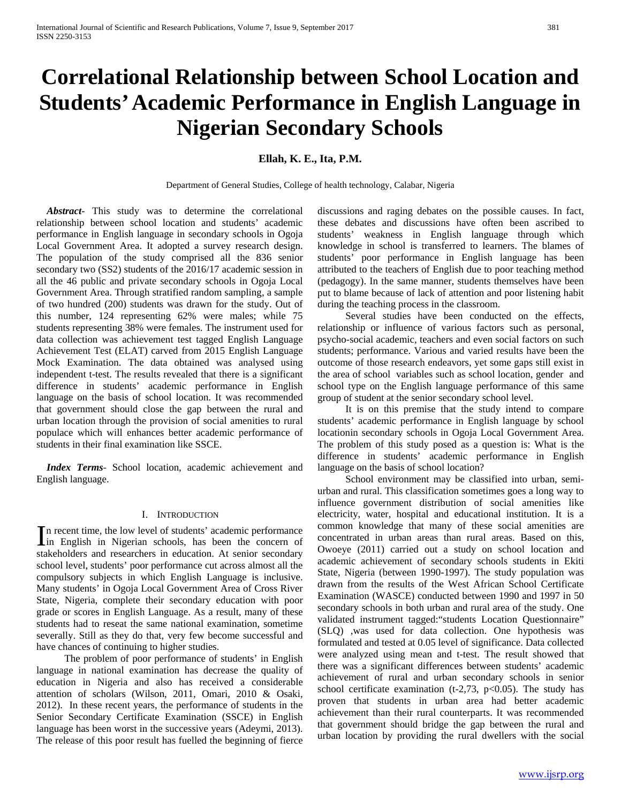# **Correlational Relationship between School Location and Students' Academic Performance in English Language in Nigerian Secondary Schools**

## **Ellah, K. E., Ita, P.M.**

Department of General Studies, College of health technology, Calabar, Nigeria

 *Abstract***-** This study was to determine the correlational relationship between school location and students' academic performance in English language in secondary schools in Ogoja Local Government Area. It adopted a survey research design. The population of the study comprised all the 836 senior secondary two (SS2) students of the 2016/17 academic session in all the 46 public and private secondary schools in Ogoja Local Government Area. Through stratified random sampling, a sample of two hundred (200) students was drawn for the study. Out of this number, 124 representing 62% were males; while 75 students representing 38% were females. The instrument used for data collection was achievement test tagged English Language Achievement Test (ELAT) carved from 2015 English Language Mock Examination. The data obtained was analysed using independent t-test. The results revealed that there is a significant difference in students' academic performance in English language on the basis of school location. It was recommended that government should close the gap between the rural and urban location through the provision of social amenities to rural populace which will enhances better academic performance of students in their final examination like SSCE.

 *Index Terms*- School location, academic achievement and English language.

#### I. INTRODUCTION

n recent time, the low level of students' academic performance In recent time, the low level of students' academic performance<br>in English in Nigerian schools, has been the concern of stakeholders and researchers in education. At senior secondary school level, students' poor performance cut across almost all the compulsory subjects in which English Language is inclusive. Many students' in Ogoja Local Government Area of Cross River State, Nigeria, complete their secondary education with poor grade or scores in English Language. As a result, many of these students had to reseat the same national examination, sometime severally. Still as they do that, very few become successful and have chances of continuing to higher studies.

 The problem of poor performance of students' in English language in national examination has decrease the quality of education in Nigeria and also has received a considerable attention of scholars (Wilson, 2011, Omari, 2010 & Osaki, 2012). In these recent years, the performance of students in the Senior Secondary Certificate Examination (SSCE) in English language has been worst in the successive years (Adeymi, 2013). The release of this poor result has fuelled the beginning of fierce discussions and raging debates on the possible causes. In fact, these debates and discussions have often been ascribed to students' weakness in English language through which knowledge in school is transferred to learners. The blames of students' poor performance in English language has been attributed to the teachers of English due to poor teaching method (pedagogy). In the same manner, students themselves have been put to blame because of lack of attention and poor listening habit during the teaching process in the classroom.

 Several studies have been conducted on the effects, relationship or influence of various factors such as personal, psycho-social academic, teachers and even social factors on such students; performance. Various and varied results have been the outcome of those research endeavors, yet some gaps still exist in the area of school variables such as school location, gender and school type on the English language performance of this same group of student at the senior secondary school level.

 It is on this premise that the study intend to compare students' academic performance in English language by school locationin secondary schools in Ogoja Local Government Area. The problem of this study posed as a question is: What is the difference in students' academic performance in English language on the basis of school location?

 School environment may be classified into urban, semiurban and rural. This classification sometimes goes a long way to influence government distribution of social amenities like electricity, water, hospital and educational institution. It is a common knowledge that many of these social amenities are concentrated in urban areas than rural areas. Based on this, Owoeye (2011) carried out a study on school location and academic achievement of secondary schools students in Ekiti State, Nigeria (between 1990-1997). The study population was drawn from the results of the West African School Certificate Examination (WASCE) conducted between 1990 and 1997 in 50 secondary schools in both urban and rural area of the study. One validated instrument tagged:"students Location Questionnaire" (SLQ) ,was used for data collection. One hypothesis was formulated and tested at 0.05 level of significance. Data collected were analyzed using mean and t-test. The result showed that there was a significant differences between students' academic achievement of rural and urban secondary schools in senior school certificate examination (t-2,73,  $p<0.05$ ). The study has proven that students in urban area had better academic achievement than their rural counterparts. It was recommended that government should bridge the gap between the rural and urban location by providing the rural dwellers with the social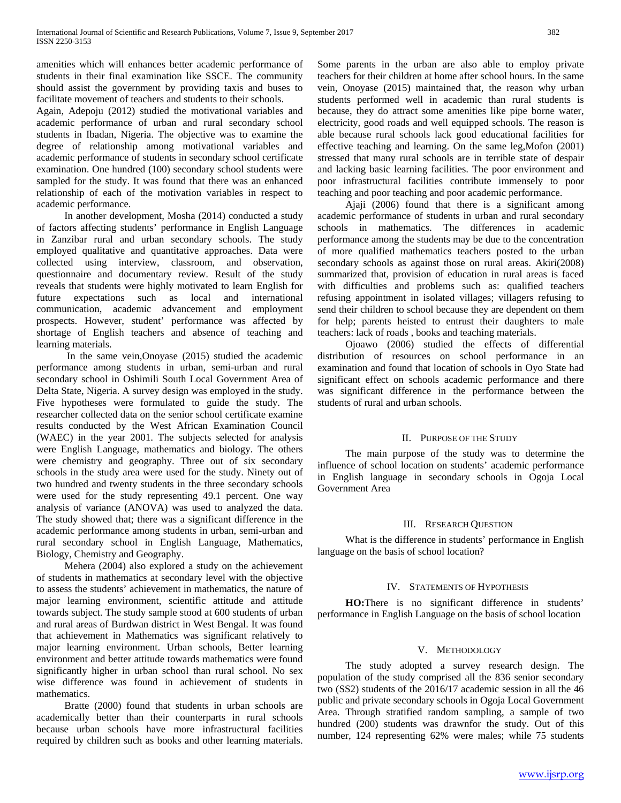amenities which will enhances better academic performance of students in their final examination like SSCE. The community should assist the government by providing taxis and buses to facilitate movement of teachers and students to their schools.

Again, Adepoju (2012) studied the motivational variables and academic performance of urban and rural secondary school students in Ibadan, Nigeria. The objective was to examine the degree of relationship among motivational variables and academic performance of students in secondary school certificate examination. One hundred (100) secondary school students were sampled for the study. It was found that there was an enhanced relationship of each of the motivation variables in respect to academic performance.

 In another development, Mosha (2014) conducted a study of factors affecting students' performance in English Language in Zanzibar rural and urban secondary schools. The study employed qualitative and quantitative approaches. Data were collected using interview, classroom, and observation, questionnaire and documentary review. Result of the study reveals that students were highly motivated to learn English for future expectations such as local and international communication, academic advancement and employment prospects. However, student' performance was affected by shortage of English teachers and absence of teaching and learning materials.

 In the same vein,Onoyase (2015) studied the academic performance among students in urban, semi-urban and rural secondary school in Oshimili South Local Government Area of Delta State, Nigeria. A survey design was employed in the study. Five hypotheses were formulated to guide the study. The researcher collected data on the senior school certificate examine results conducted by the West African Examination Council (WAEC) in the year 2001. The subjects selected for analysis were English Language, mathematics and biology. The others were chemistry and geography. Three out of six secondary schools in the study area were used for the study. Ninety out of two hundred and twenty students in the three secondary schools were used for the study representing 49.1 percent. One way analysis of variance (ANOVA) was used to analyzed the data. The study showed that; there was a significant difference in the academic performance among students in urban, semi-urban and rural secondary school in English Language, Mathematics, Biology, Chemistry and Geography.

 Mehera (2004) also explored a study on the achievement of students in mathematics at secondary level with the objective to assess the students' achievement in mathematics, the nature of major learning environment, scientific attitude and attitude towards subject. The study sample stood at 600 students of urban and rural areas of Burdwan district in West Bengal. It was found that achievement in Mathematics was significant relatively to major learning environment. Urban schools, Better learning environment and better attitude towards mathematics were found significantly higher in urban school than rural school. No sex wise difference was found in achievement of students in mathematics.

 Bratte (2000) found that students in urban schools are academically better than their counterparts in rural schools because urban schools have more infrastructural facilities required by children such as books and other learning materials.

Some parents in the urban are also able to employ private teachers for their children at home after school hours. In the same vein, Onoyase (2015) maintained that, the reason why urban students performed well in academic than rural students is because, they do attract some amenities like pipe borne water, electricity, good roads and well equipped schools. The reason is able because rural schools lack good educational facilities for effective teaching and learning. On the same leg,Mofon (2001) stressed that many rural schools are in terrible state of despair and lacking basic learning facilities. The poor environment and poor infrastructural facilities contribute immensely to poor teaching and poor teaching and poor academic performance.

 Ajaji (2006) found that there is a significant among academic performance of students in urban and rural secondary schools in mathematics. The differences in academic performance among the students may be due to the concentration of more qualified mathematics teachers posted to the urban secondary schools as against those on rural areas. Akiri(2008) summarized that, provision of education in rural areas is faced with difficulties and problems such as: qualified teachers refusing appointment in isolated villages; villagers refusing to send their children to school because they are dependent on them for help; parents heisted to entrust their daughters to male teachers: lack of roads , books and teaching materials.

 Ojoawo (2006) studied the effects of differential distribution of resources on school performance in an examination and found that location of schools in Oyo State had significant effect on schools academic performance and there was significant difference in the performance between the students of rural and urban schools.

## II. PURPOSE OF THE STUDY

 The main purpose of the study was to determine the influence of school location on students' academic performance in English language in secondary schools in Ogoja Local Government Area

## III. RESEARCH QUESTION

 What is the difference in students' performance in English language on the basis of school location?

#### IV. STATEMENTS OF HYPOTHESIS

 **HO:**There is no significant difference in students' performance in English Language on the basis of school location

#### V. METHODOLOGY

 The study adopted a survey research design. The population of the study comprised all the 836 senior secondary two (SS2) students of the 2016/17 academic session in all the 46 public and private secondary schools in Ogoja Local Government Area. Through stratified random sampling, a sample of two hundred (200) students was drawnfor the study. Out of this number, 124 representing 62% were males; while 75 students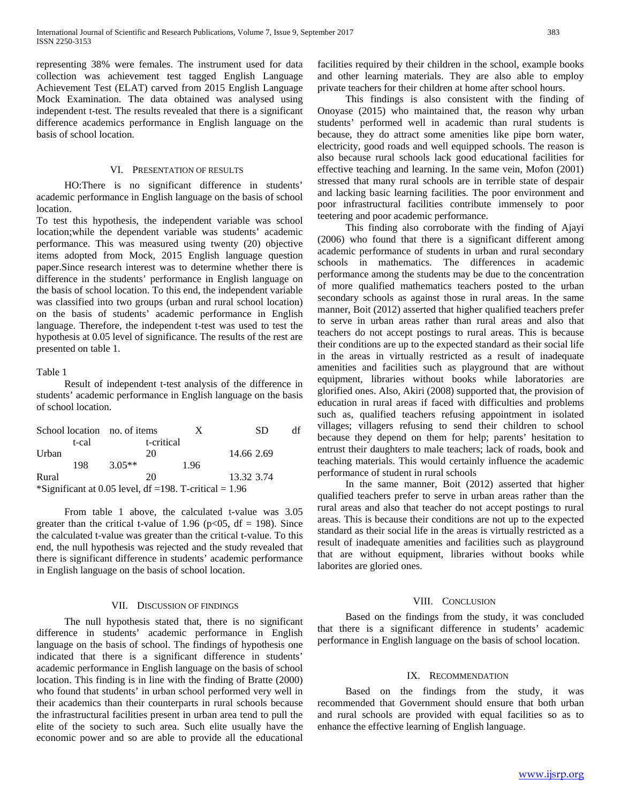representing 38% were females. The instrument used for data collection was achievement test tagged English Language Achievement Test (ELAT) carved from 2015 English Language Mock Examination. The data obtained was analysed using independent t-test. The results revealed that there is a significant difference academics performance in English language on the basis of school location.

#### VI. PRESENTATION OF RESULTS

 HO:There is no significant difference in students' academic performance in English language on the basis of school location.

To test this hypothesis, the independent variable was school location;while the dependent variable was students' academic performance. This was measured using twenty (20) objective items adopted from Mock, 2015 English language question paper.Since research interest was to determine whether there is difference in the students' performance in English language on the basis of school location. To this end, the independent variable was classified into two groups (urban and rural school location) on the basis of students' academic performance in English language. Therefore, the independent t-test was used to test the hypothesis at 0.05 level of significance. The results of the rest are presented on table 1.

#### Table 1

 Result of independent t-test analysis of the difference in students' academic performance in English language on the basis of school location.

| School location no. of items |     |            | X                                                         | SD.        | df |
|------------------------------|-----|------------|-----------------------------------------------------------|------------|----|
| t-cal                        |     | t-critical |                                                           |            |    |
| Urban                        |     | 20         |                                                           | 14.66 2.69 |    |
|                              | 198 | $3.05**$   | 1.96                                                      |            |    |
| Rural                        |     | 20         |                                                           | 13.32 3.74 |    |
|                              |     |            | *Significant at 0.05 level, df = 198. T-critical = $1.96$ |            |    |

 From table 1 above, the calculated t-value was 3.05 greater than the critical t-value of 1.96 ( $p<05$ , df = 198). Since the calculated t-value was greater than the critical t-value. To this end, the null hypothesis was rejected and the study revealed that there is significant difference in students' academic performance in English language on the basis of school location.

## VII. DISCUSSION OF FINDINGS

 The null hypothesis stated that, there is no significant difference in students' academic performance in English language on the basis of school. The findings of hypothesis one indicated that there is a significant difference in students' academic performance in English language on the basis of school location. This finding is in line with the finding of Bratte (2000) who found that students' in urban school performed very well in their academics than their counterparts in rural schools because the infrastructural facilities present in urban area tend to pull the elite of the society to such area. Such elite usually have the economic power and so are able to provide all the educational

facilities required by their children in the school, example books and other learning materials. They are also able to employ private teachers for their children at home after school hours.

 This findings is also consistent with the finding of Onoyase (2015) who maintained that, the reason why urban students' performed well in academic than rural students is because, they do attract some amenities like pipe born water, electricity, good roads and well equipped schools. The reason is also because rural schools lack good educational facilities for effective teaching and learning. In the same vein, Mofon (2001) stressed that many rural schools are in terrible state of despair and lacking basic learning facilities. The poor environment and poor infrastructural facilities contribute immensely to poor teetering and poor academic performance.

 This finding also corroborate with the finding of Ajayi (2006) who found that there is a significant different among academic performance of students in urban and rural secondary schools in mathematics. The differences in academic performance among the students may be due to the concentration of more qualified mathematics teachers posted to the urban secondary schools as against those in rural areas. In the same manner, Boit (2012) asserted that higher qualified teachers prefer to serve in urban areas rather than rural areas and also that teachers do not accept postings to rural areas. This is because their conditions are up to the expected standard as their social life in the areas in virtually restricted as a result of inadequate amenities and facilities such as playground that are without equipment, libraries without books while laboratories are glorified ones. Also, Akiri (2008) supported that, the provision of education in rural areas if faced with difficulties and problems such as, qualified teachers refusing appointment in isolated villages; villagers refusing to send their children to school because they depend on them for help; parents' hesitation to entrust their daughters to male teachers; lack of roads, book and teaching materials. This would certainly influence the academic performance of student in rural schools

 In the same manner, Boit (2012) asserted that higher qualified teachers prefer to serve in urban areas rather than the rural areas and also that teacher do not accept postings to rural areas. This is because their conditions are not up to the expected standard as their social life in the areas is virtually restricted as a result of inadequate amenities and facilities such as playground that are without equipment, libraries without books while laborites are gloried ones.

#### VIII. CONCLUSION

 Based on the findings from the study, it was concluded that there is a significant difference in students' academic performance in English language on the basis of school location.

#### IX. RECOMMENDATION

 Based on the findings from the study, it was recommended that Government should ensure that both urban and rural schools are provided with equal facilities so as to enhance the effective learning of English language.